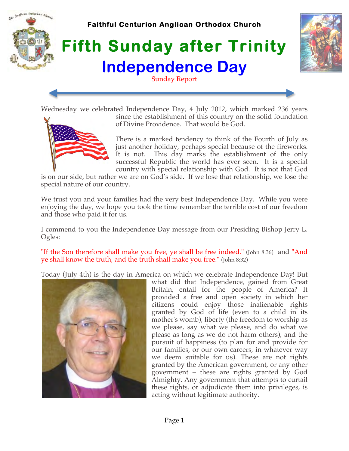

Wednesday we celebrated Independence Day, 4 July 2012, which marked 236 years since the establishment of this country on the solid foundation



of Divine Providence. That would be God.

There is a marked tendency to think of the Fourth of July as just another holiday, perhaps special because of the fireworks. It is not. This day marks the establishment of the only successful Republic the world has ever seen. It is a special country with special relationship with God. It is not that God

is on our side, but rather we are on God's side. If we lose that relationship, we lose the special nature of our country.

We trust you and your families had the very best Independence Day. While you were enjoying the day, we hope you took the time remember the terrible cost of our freedom and those who paid it for us.

I commend to you the Independence Day message from our Presiding Bishop Jerry L. Ogles:

"If the Son therefore shall make you free, ye shall be free indeed." (John 8:36) and "And ye shall know the truth, and the truth shall make you free." (John 8:32)

Today (July 4th) is the day in America on which we celebrate Independence Day! But



what did that Independence, gained from Great Britain, entail for the people of America? It provided a free and open society in which her citizens could enjoy those inalienable rights granted by God of life (even to a child in its mother's womb), liberty (the freedom to worship as we please, say what we please, and do what we please as long as we do not harm others), and the pursuit of happiness (to plan for and provide for our families, or our own careers, in whatever way we deem suitable for us). These are not rights granted by the American government, or any other government – these are rights granted by God Almighty. Any government that attempts to curtail these rights, or adjudicate them into privileges, is acting without legitimate authority.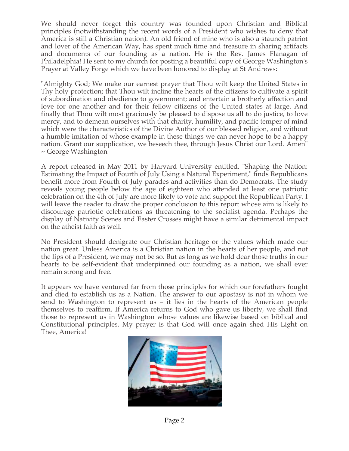We should never forget this country was founded upon Christian and Biblical principles (notwithstanding the recent words of a President who wishes to deny that America is still a Christian nation). An old friend of mine who is also a staunch patriot and lover of the American Way, has spent much time and treasure in sharing artifacts and documents of our founding as a nation. He is the Rev. James Flanagan of Philadelphia! He sent to my church for posting a beautiful copy of George Washington's Prayer at Valley Forge which we have been honored to display at St Andrews:

"Almighty God; We make our earnest prayer that Thou wilt keep the United States in Thy holy protection; that Thou wilt incline the hearts of the citizens to cultivate a spirit of subordination and obedience to government; and entertain a brotherly affection and love for one another and for their fellow citizens of the United states at large. And finally that Thou wilt most graciously be pleased to dispose us all to do justice, to love mercy, and to demean ourselves with that charity, humility, and pacific temper of mind which were the characteristics of the Divine Author of our blessed religion, and without a humble imitation of whose example in these things we can never hope to be a happy nation. Grant our supplication, we beseech thee, through Jesus Christ our Lord. Amen" ~ George Washington

A report released in May 2011 by Harvard University entitled, "Shaping the Nation: Estimating the Impact of Fourth of July Using a Natural Experiment," finds Republicans benefit more from Fourth of July parades and activities than do Democrats. The study reveals young people below the age of eighteen who attended at least one patriotic celebration on the 4th of July are more likely to vote and support the Republican Party. I will leave the reader to draw the proper conclusion to this report whose aim is likely to discourage patriotic celebrations as threatening to the socialist agenda. Perhaps the display of Nativity Scenes and Easter Crosses might have a similar detrimental impact on the atheist faith as well.

No President should denigrate our Christian heritage or the values which made our nation great. Unless America is a Christian nation in the hearts of her people, and not the lips of a President, we may not be so. But as long as we hold dear those truths in our hearts to be self-evident that underpinned our founding as a nation, we shall ever remain strong and free.

It appears we have ventured far from those principles for which our forefathers fought and died to establish us as a Nation. The answer to our apostasy is not in whom we send to Washington to represent us – it lies in the hearts of the American people themselves to reaffirm. If America returns to God who gave us liberty, we shall find those to represent us in Washington whose values are likewise based on biblical and Constitutional principles. My prayer is that God will once again shed His Light on Thee, America!

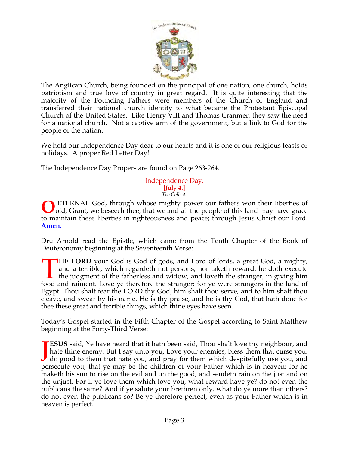

The Anglican Church, being founded on the principal of one nation, one church, holds patriotism and true love of country in great regard. It is quite interesting that the majority of the Founding Fathers were members of the Church of England and transferred their national church identity to what became the Protestant Episcopal Church of the United States. Like Henry VIII and Thomas Cranmer, they saw the need for a national church. Not a captive arm of the government, but a link to God for the people of the nation.

We hold our Independence Day dear to our hearts and it is one of our religious feasts or holidays. A proper Red Letter Day!

The Independence Day Propers are found on Page 263-264.

Independence Day. [July 4.] *The Collect.*

ETERNAL God, through whose mighty power our fathers won their liberties of old; Grant, we beseech thee, that we and all the people of this land may have grace to maintain these liberties in righteousness and peace; through Jesus Christ our Lord. **Amen. O**

Dru Arnold read the Epistle, which came from the Tenth Chapter of the Book of Deuteronomy beginning at the Seventeenth Verse:

**HE LORD** your God is God of gods, and Lord of lords, a great God, a mighty, and a terrible, which regardeth not persons, nor taketh reward: he doth execute If the judgment of the fatherless and widow, and loveth the stranger, in giving him **FOORD** your God is God of gods, and Lord of lords, a great God, a mighty, and a terrible, which regardeth not persons, nor taketh reward: he doth execute the judgment of the fatherless and widow, and loveth the stranger, Egypt. Thou shalt fear the LORD thy God; him shalt thou serve, and to him shalt thou cleave, and swear by his name. He is thy praise, and he is thy God, that hath done for thee these great and terrible things, which thine eyes have seen..

Today's Gospel started in the Fifth Chapter of the Gospel according to Saint Matthew beginning at the Forty-Third Verse:

**ESUS** said, Ye have heard that it hath been said, Thou shalt love thy neighbour, and hate thine enemy. But I say unto you, Love your enemies, bless them that curse you, **TESUS** said, Ye have heard that it hath been said, Thou shalt love thy neighbour, and hate thine enemy. But I say unto you, Love your enemies, bless them that curse you, do good to them that hate you, and pray for them wh persecute you; that ye may be the children of your Father which is in heaven: for he maketh his sun to rise on the evil and on the good, and sendeth rain on the just and on the unjust. For if ye love them which love you, what reward have ye? do not even the publicans the same? And if ye salute your brethren only, what do ye more than others? do not even the publicans so? Be ye therefore perfect, even as your Father which is in heaven is perfect.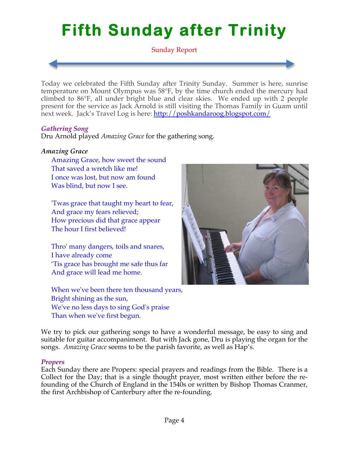# **Fifth Sunday after Trinity**

Sunday Report

Today we celebrated the Fifth Sunday after Trinity Sunday. Summer is here, sunrise temperature on Mount Olympus was 58°F, by the time church ended the mercury had climbed to 86°F, all under bright blue and clear skies. We ended up with 2 people present for the service as Jack Arnold is still visiting the Thomas Family in Guam until next week. Jack's Travel Log is here: http://poshkandaroog.blogspot.com/

# *Gathering Song*

Dru Arnold played *Amazing Grace* for the gathering song.

# *Amazing Grace*

Amazing Grace, how sweet the sound That saved a wretch like me! I once was lost, but now am found Was blind, but now I see.

'Twas grace that taught my heart to fear, And grace my fears relieved; How precious did that grace appear The hour I first believed!

Thro' many dangers, toils and snares, I have already come 'Tis grace has brought me safe thus far And grace will lead me home.

When we've been there ten thousand years, Bright shining as the sun, We've no less days to sing God's praise Than when we've first begun.



We try to pick our gathering songs to have a wonderful message, be easy to sing and suitable for guitar accompaniment. But with Jack gone, Dru is playing the organ for the songs. *Amazing Grace* seems to be the parish favorite, as well as Hap's.

#### *Propers*

Each Sunday there are Propers: special prayers and readings from the Bible. There is a Collect for the Day; that is a single thought prayer, most written either before the refounding of the Church of England in the 1540s or written by Bishop Thomas Cranmer, the first Archbishop of Canterbury after the re-founding.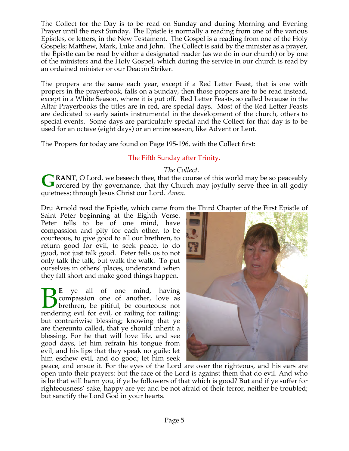The Collect for the Day is to be read on Sunday and during Morning and Evening Prayer until the next Sunday. The Epistle is normally a reading from one of the various Epistles, or letters, in the New Testament. The Gospel is a reading from one of the Holy Gospels; Matthew, Mark, Luke and John. The Collect is said by the minister as a prayer, the Epistle can be read by either a designated reader (as we do in our church) or by one of the ministers and the Holy Gospel, which during the service in our church is read by an ordained minister or our Deacon Striker.

The propers are the same each year, except if a Red Letter Feast, that is one with propers in the prayerbook, falls on a Sunday, then those propers are to be read instead, except in a White Season, where it is put off. Red Letter Feasts, so called because in the Altar Prayerbooks the titles are in red, are special days. Most of the Red Letter Feasts are dedicated to early saints instrumental in the development of the church, others to special events. Some days are particularly special and the Collect for that day is to be used for an octave (eight days) or an entire season, like Advent or Lent.

The Propers for today are found on Page 195-196, with the Collect first:

# The Fifth Sunday after Trinity.

# *The Collect.*

**RANT**, O Lord, we beseech thee, that the course of this world may be so peaceably GRANT, O Lord, we beseech thee, that the course of this world may be so peaceably ordered by thy governance, that thy Church may joyfully serve thee in all godly quietness; through Jesus Christ our Lord. *Amen*.

Dru Arnold read the Epistle, which came from the Third Chapter of the First Epistle of

Saint Peter beginning at the Eighth Verse. Peter tells to be of one mind, have compassion and pity for each other, to be courteous, to give good to all our brethren, to return good for evil, to seek peace, to do good, not just talk good. Peter tells us to not only talk the talk, but walk the walk. To put ourselves in others' places, understand when they fall short and make good things happen.

**E** ye all of one mind, having compassion one of another, love as brethren, be pitiful, be courteous: not **E** ye all of one mind, having compassion one of another, love as brethren, be pitiful, be courteous: not rendering evil for evil, or railing for railing: but contrariwise blessing; knowing that ye are thereunto called, that ye should inherit a blessing. For he that will love life, and see good days, let him refrain his tongue from evil, and his lips that they speak no guile: let him eschew evil, and do good; let him seek



peace, and ensue it. For the eyes of the Lord are over the righteous, and his ears are open unto their prayers: but the face of the Lord is against them that do evil. And who is he that will harm you, if ye be followers of that which is good? But and if ye suffer for righteousness' sake, happy are ye: and be not afraid of their terror, neither be troubled; but sanctify the Lord God in your hearts.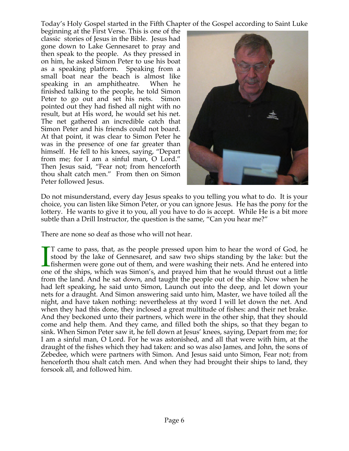Today's Holy Gospel started in the Fifth Chapter of the Gospel according to Saint Luke

beginning at the First Verse. This is one of the classic stories of Jesus in the Bible. Jesus had gone down to Lake Gennesaret to pray and then speak to the people. As they pressed in on him, he asked Simon Peter to use his boat as a speaking platform. Speaking from a small boat near the beach is almost like speaking in an amphitheatre. When he finished talking to the people, he told Simon Peter to go out and set his nets. Simon pointed out they had fished all night with no result, but at His word, he would set his net. The net gathered an incredible catch that Simon Peter and his friends could not board. At that point, it was clear to Simon Peter he was in the presence of one far greater than himself. He fell to his knees, saying, "Depart from me; for I am a sinful man, O Lord." Then Jesus said, "Fear not; from henceforth thou shalt catch men." From then on Simon Peter followed Jesus.



Do not misunderstand, every day Jesus speaks to you telling you what to do. It is your choice, you can listen like Simon Peter, or you can ignore Jesus. He has the pony for the lottery. He wants to give it to you, all you have to do is accept. While He is a bit more subtle than a Drill Instructor, the question is the same, "Can you hear me?"

There are none so deaf as those who will not hear.

T came to pass, that, as the people pressed upon him to hear the word of God, he stood by the lake of Gennesaret, and saw two ships standing by the lake: but the fishermen were gone out of them, and were washing their nets. And he entered into one of the ships, which was Simon's, and prayed him that he would thrust out a little from the land. And he sat down, and taught the people out of the ship. Now when he had left speaking, he said unto Simon, Launch out into the deep, and let down your nets for a draught. And Simon answering said unto him, Master, we have toiled all the night, and have taken nothing: nevertheless at thy word I will let down the net. And when they had this done, they inclosed a great multitude of fishes: and their net brake. And they beckoned unto their partners, which were in the other ship, that they should come and help them. And they came, and filled both the ships, so that they began to sink. When Simon Peter saw it, he fell down at Jesus' knees, saying, Depart from me; for I am a sinful man, O Lord. For he was astonished, and all that were with him, at the draught of the fishes which they had taken: and so was also James, and John, the sons of Zebedee, which were partners with Simon. And Jesus said unto Simon, Fear not; from henceforth thou shalt catch men. And when they had brought their ships to land, they forsook all, and followed him.  $\prod_{\text{one}}$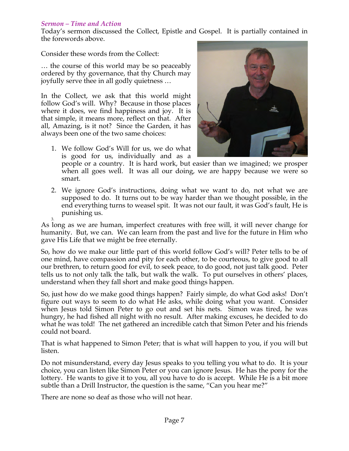## *Sermon – Time and Action*

Today's sermon discussed the Collect, Epistle and Gospel. It is partially contained in the forewords above.

Consider these words from the Collect:

… the course of this world may be so peaceably ordered by thy governance, that thy Church may joyfully serve thee in all godly quietness …

In the Collect, we ask that this world might follow God's will. Why? Because in those places where it does, we find happiness and joy. It is that simple, it means more, reflect on that. After all, Amazing, is it not? Since the Garden, it has always been one of the two same choices:

1. We follow God's Will for us, we do what is good for us, individually and as a

people or a country. It is hard work, but easier than we imagined; we prosper when all goes well. It was all our doing, we are happy because we were so smart.

2. We ignore God's instructions, doing what we want to do, not what we are supposed to do. It turns out to be way harder than we thought possible, in the end everything turns to weasel spit. It was not our fault, it was God's fault, He is punishing us.

3. As long as we are human, imperfect creatures with free will, it will never change for humanity. But, we can. We can learn from the past and live for the future in Him who gave His Life that we might be free eternally.

So, how do we make our little part of this world follow God's will? Peter tells to be of one mind, have compassion and pity for each other, to be courteous, to give good to all our brethren, to return good for evil, to seek peace, to do good, not just talk good. Peter tells us to not only talk the talk, but walk the walk. To put ourselves in others' places, understand when they fall short and make good things happen.

So, just how do we make good things happen? Fairly simple, do what God asks! Don't figure out ways to seem to do what He asks, while doing what you want. Consider when Jesus told Simon Peter to go out and set his nets. Simon was tired, he was hungry, he had fished all night with no result. After making excuses, he decided to do what he was told! The net gathered an incredible catch that Simon Peter and his friends could not board.

That is what happened to Simon Peter; that is what will happen to you, if you will but listen.

Do not misunderstand, every day Jesus speaks to you telling you what to do. It is your choice, you can listen like Simon Peter or you can ignore Jesus. He has the pony for the lottery. He wants to give it to you, all you have to do is accept. While He is a bit more subtle than a Drill Instructor, the question is the same, "Can you hear me?"

There are none so deaf as those who will not hear.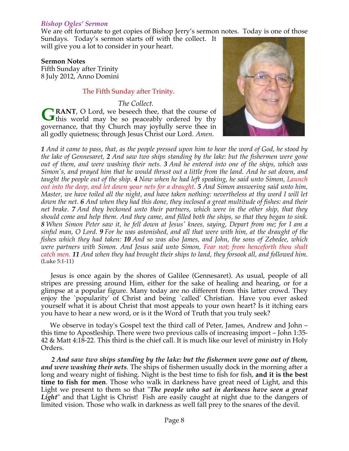#### *Bishop Ogles' Sermon*

We are oft fortunate to get copies of Bishop Jerry's sermon notes. Today is one of those

Sundays. Today's sermon starts off with the collect. It will give you a lot to consider in your heart.

#### **Sermon Notes**

Fifth Sunday after Trinity 8 July 2012, Anno Domini

#### The Fifth Sunday after Trinity.

*The Collect.*

**RANT**, O Lord, we beseech thee, that the course of **GRANT**, O Lord, we beseech thee, that the course of this world may be so peaceably ordered by thy governance, that thy Church may joyfully serve thee in all godly quietness; through Jesus Christ our Lord. *Amen*.



*1 And it came to pass, that, as the people pressed upon him to hear the word of God, he stood by the lake of Gennesaret, 2 And saw two ships standing by the lake: but the fishermen were gone out of them, and were washing their nets. 3 And he entered into one of the ships, which was Simon's, and prayed him that he would thrust out a little from the land. And he sat down, and taught the people out of the ship. 4 Now when he had left speaking, he said unto Simon, Launch out into the deep, and let down your nets for a draught. 5 And Simon answering said unto him, Master, we have toiled all the night, and have taken nothing: nevertheless at thy word I will let down the net. 6 And when they had this done, they inclosed a great multitude of fishes: and their net brake. 7 And they beckoned unto their partners, which were in the other ship, that they should come and help them. And they came, and filled both the ships, so that they began to sink. 8 When Simon Peter saw it, he fell down at Jesus' knees, saying, Depart from me; for I am a sinful man, O Lord. 9 For he was astonished, and all that were with him, at the draught of the fishes which they had taken: 10 And so was also James, and John, the sons of Zebedee, which were partners with Simon. And Jesus said unto Simon, Fear not; from henceforth thou shalt catch men. <sup>11</sup> And when they had brought their ships to land, they forsook all, and followed him*. (Luke 5:1-11)

 Jesus is once again by the shores of Galilee (Gennesaret). As usual, people of all stripes are pressing around Him, either for the sake of healing and hearing, or for a glimpse at a popular figure. Many today are no different from this latter crowd. They enjoy the `popularity' of Christ and being `called' Christian. Have you ever asked yourself what it is about Christ that most appeals to your own heart? Is it itching ears you have to hear a new word, or is it the Word of Truth that you truly seek?

 We observe in today's Gospel text the third call of Peter, James, Andrew and John – this time to Apostleship. There were two previous calls of increasing import – John 1:35- 42 & Matt 4:18-22. This third is the chief call. It is much like our level of ministry in Holy Orders.

 *2 And saw two ships standing by the lake: but the fishermen were gone out of them, and were washing their nets.* The ships of fishermen usually dock in the morning after a long and weary night of fishing. Night is the best time to fish for fish, **and it is the best time to fish for men**. Those who walk in darkness have great need of Light, and this Light we present to them so that "*The people who sat in darkness have seen a great*  Light" and that Light is Christ! Fish are easily caught at night due to the dangers of limited vision. Those who walk in darkness as well fall prey to the snares of the devil.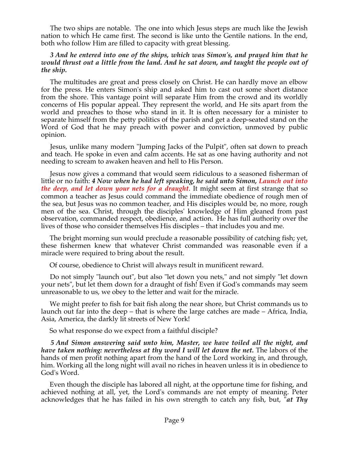The two ships are notable. The one into which Jesus steps are much like the Jewish nation to which He came first. The second is like unto the Gentile nations. In the end, both who follow Him are filled to capacity with great blessing.

#### *3 And he entered into one of the ships, which was Simon's, and prayed him that he would thrust out a little from the land. And he sat down, and taught the people out of the ship.*

 The multitudes are great and press closely on Christ. He can hardly move an elbow for the press. He enters Simon's ship and asked him to cast out some short distance from the shore. This vantage point will separate Him from the crowd and its worldly concerns of His popular appeal. They represent the world, and He sits apart from the world and preaches to those who stand in it. It is often necessary for a minister to separate himself from the petty politics of the parish and get a deep-seated stand on the Word of God that he may preach with power and conviction, unmoved by public opinion.

 Jesus, unlike many modern "Jumping Jacks of the Pulpit", often sat down to preach and teach. He spoke in even and calm accents. He sat as one having authority and not needing to scream to awaken heaven and hell to His Person.

 Jesus now gives a command that would seem ridiculous to a seasoned fisherman of little or no faith: *4 Now when he had left speaking, he said unto Simon, Launch out into the deep, and let down your nets for a draught*. It might seem at first strange that so common a teacher as Jesus could command the immediate obedience of rough men of the sea, but Jesus was no common teacher, and His disciples would be, no more, rough men of the sea. Christ, through the disciples' knowledge of Him gleaned from past observation, commanded respect, obedience, and action. He has full authority over the lives of those who consider themselves His disciples – that includes you and me.

 The bright morning sun would preclude a reasonable possibility of catching fish; yet, these fishermen knew that whatever Christ commanded was reasonable even if a miracle were required to bring about the result.

Of course, obedience to Christ will always result in munificent reward.

 Do not simply "launch out", but also "let down you nets," and not simply "let down your nets", but let them down for a draught of fish! Even if God's commands may seem unreasonable to us, we obey to the letter and wait for the miracle.

 We might prefer to fish for bait fish along the near shore, but Christ commands us to launch out far into the deep – that is where the large catches are made – Africa, India, Asia, America, the darkly lit streets of New York!

So what response do we expect from a faithful disciple?

 *5 And Simon answering said unto him, Master, we have toiled all the night, and have taken nothing: nevertheless at thy word I will let down the net.* The labors of the hands of men profit nothing apart from the hand of the Lord working in, and through, him. Working all the long night will avail no riches in heaven unless it is in obedience to God's Word.

 Even though the disciple has labored all night, at the opportune time for fishing, and achieved nothing at all, yet, the Lord's commands are not empty of meaning. Peter acknowledges that he has failed in his own strength to catch any fish, but, "*at Thy*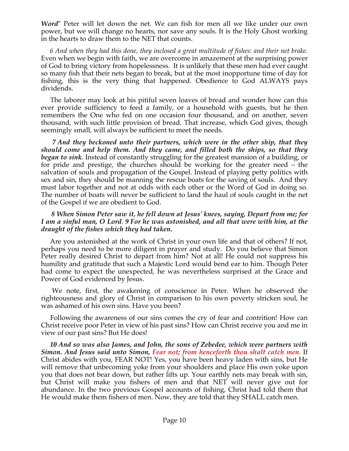*Word*" Peter will let down the net. We can fish for men all we like under our own power, but we will change no hearts, nor save any souls. It is the Holy Ghost working in the hearts to draw them to the NET that counts.

 *6 And when they had this done, they inclosed a great multitude of fishes: and their net brake.* Even when we begin with faith, we are overcome in amazement at the surprising power of God to bring victory from hopelessness. It is unlikely that these men had ever caught so many fish that their nets began to break, but at the most inopportune time of day for fishing, this is the very thing that happened. Obedience to God ALWAYS pays dividends.

 The laborer may look at his pitiful seven loaves of bread and wonder how can this ever provide sufficiency to feed a family, or a household with guests, but he then remembers the One who fed on one occasion four thousand, and on another, seven thousand, with such little provision of bread. That increase, which God gives, though seemingly small, will always be sufficient to meet the needs.

 *7 And they beckoned unto their partners, which were in the other ship, that they should come and help them. And they came, and filled both the ships, so that they began to sink.* Instead of constantly struggling for the greatest mansion of a building, or for pride and prestige, the churches should be working for the greater need – the salvation of souls and propagation of the Gospel. Instead of playing petty politics with sex and sin, they should be manning the rescue boats for the saving of souls. And they must labor together and not at odds with each other or the Word of God in doing so. The number of boats will never be sufficient to land the haul of souls caught in the net of the Gospel if we are obedient to God.

 *8 When Simon Peter saw it, he fell down at Jesus' knees, saying, Depart from me; for I am a sinful man, O Lord. 9 For he was astonished, and all that were with him, at the draught of the fishes which they had taken.*

 Are you astonished at the work of Christ in your own life and that of others? If not, perhaps you need to be more diligent in prayer and study. Do you believe that Simon Peter really desired Christ to depart from him? Not at all! He could not suppress his humility and gratitude that such a Majestic Lord would bend ear to him. Though Peter had come to expect the unexpected, he was nevertheless surprised at the Grace and Power of God evidenced by Jesus.

 We note, first, the awakening of conscience in Peter. When he observed the righteousness and glory of Christ in comparison to his own poverty stricken soul, he was ashamed of his own sins. Have you been?

 Following the awareness of our sins comes the cry of fear and contrition! How can Christ receive poor Peter in view of his past sins? How can Christ receive you and me in view of our past sins? But He does!

 *10 And so was also James, and John, the sons of Zebedee, which were partners with Simon. And Jesus said unto Simon, Fear not; from henceforth thou shalt catch men*. If Christ abides with you, FEAR NOT! Yes, you have been heavy laden with sins, but He will remove that unbecoming yoke from your shoulders and place His own yoke upon you that does not bear down, but rather lifts up. Your earthly nets may break with sin, but Christ will make you fishers of men and that NET will never give out for abundance. In the two previous Gospel accounts of fishing, Christ had told them that He would make them fishers of men. Now, they are told that they SHALL catch men.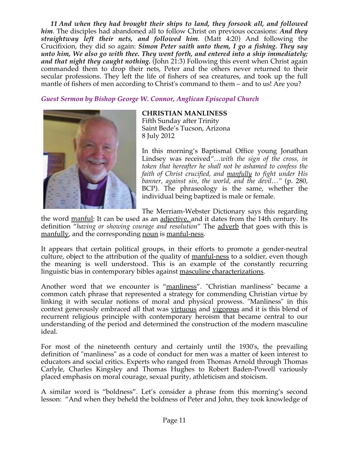*11 And when they had brought their ships to land, they forsook all, and followed him*. The disciples had abandoned all to follow Christ on previous occasions: *And they straightway left their nets, and followed him*. (Matt 4:20) And following the Crucifixion, they did so again: *Simon Peter saith unto them, I go a fishing. They say unto him, We also go with thee. They went forth, and entered into a ship immediately; and that night they caught nothing.* (John 21:3) Following this event when Christ again commanded them to drop their nets, Peter and the others never returned to their secular professions. They left the life of fishers of sea creatures, and took up the full mantle of fishers of men according to Christ's command to them – and to us! Are you?

*Guest Sermon by Bishop George W. Connor, Anglican Episcopal Church*



**CHRISTIAN MANLINESS** Fifth Sunday after Trinity Saint Bede's Tucson, Arizona 8 July 2012

In this morning's Baptismal Office young Jonathan Lindsey was received*"…with the sign of the cross, in token that hereafter he shall not be ashamed to confess the faith of Christ crucified, and manfully to fight under His banner, against sin, the world, and the devil…"* (p. 280, BCP). The phraseology is the same, whether the individual being baptized is male or female.

The Merriam-Webster Dictionary says this regarding

the word manful: It can be used as an adjective, and it dates from the 14th century. Its definition "*having or showing courage and resolution*" The adverb that goes with this is manfully, and the corresponding noun is manful-ness.

It appears that certain political groups, in their efforts to promote a gender-neutral culture, object to the attribution of the quality of <u>manful-ness</u> to a soldier, even though the meaning is well understood. This is an example of the constantly recurring linguistic bias in contemporary bibles against masculine characterizations.

Another word that we encounter is "manliness". "Christian manliness" became a common catch phrase that represented a strategy for commending Christian virtue by linking it with secular notions of moral and physical prowess. "Manliness" in this context generously embraced all that was virtuous and vigorous and it is this blend of recurrent religious principle with contemporary heroism that became central to our understanding of the period and determined the construction of the modern masculine ideal.

For most of the nineteenth century and certainly until the 1930's, the prevailing definition of "manliness" as a code of conduct for men was a matter of keen interest to educators and social critics. Experts who ranged from Thomas Arnold through Thomas Carlyle, Charles Kingsley and Thomas Hughes to Robert Baden-Powell variously placed emphasis on moral courage, sexual purity, athleticism and stoicism.

A similar word is "boldness". Let's consider a phrase from this morning's second lesson: "And when they beheld the boldness of Peter and John, they took knowledge of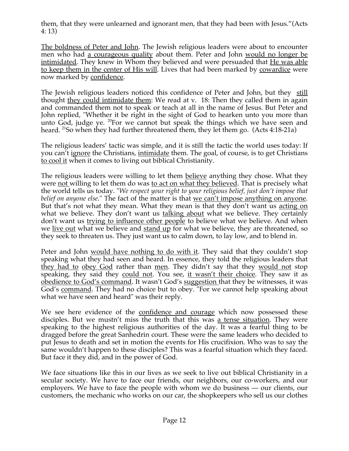them, that they were unlearned and ignorant men, that they had been with Jesus."(Acts 4: 13)

The boldness of Peter and John. The Jewish religious leaders were about to encounter men who had <u>a courageous quality</u> about them. Peter and John <u>would no longer be</u> intimidated. They knew in Whom they believed and were persuaded that He was able to keep them in the center of His will. Lives that had been marked by cowardice were now marked by confidence.

The Jewish religious leaders noticed this confidence of Peter and John, but they still thought they could intimidate them: We read at v. 18: Then they called them in again and commanded them not to speak or teach at all in the name of Jesus. But Peter and John replied, "Whether it be right in the sight of God to hearken unto you more than unto God, judge ye. <sup>20</sup>For we cannot but speak the things which we have seen and heard. <sup>21</sup>So when they had further threatened them, they let them go. (Acts 4:18-21a)

The religious leaders' tactic was simple, and it is still the tactic the world uses today: If you can't <u>ignore</u> the Christians, <u>intimidate</u> them. The goal, of course, is to get Christians to cool it when it comes to living out biblical Christianity.

The religious leaders were willing to let them believe anything they chose. What they were not willing to let them do was to act on what they believed. That is precisely what the world tells us today. "*We respect your right to your religious belief, just don't impose that belief on anyone else*." The fact of the matter is that we can't impose anything on anyone. But that's not what they mean. What they mean is that they don't want us acting on what we believe. They don't want us talking about what we believe. They certainly don't want us trying to influence other people to believe what we believe. And when we live out what we believe and stand up for what we believe, they are threatened, so they seek to threaten us. They just want us to calm down, to lay low, and to blend in.

Peter and John would have nothing to do with it. They said that they couldn't stop speaking what they had seen and heard. In essence, they told the religious leaders that they had to obey God rather than men. They didn't say that they would not stop speaking, they said they could not. You see, it wasn't their choice. They saw it as obedience to God's command. It wasn't God's suggestion that they be witnesses, it was God's command. They had no choice but to obey. "For we cannot help speaking about what we have seen and heard" was their reply.

We see here evidence of the confidence and courage which now possessed these disciples. But we mustn't miss the truth that this was a tense situation. They were speaking to the highest religious authorities of the day. It was a fearful thing to be dragged before the great Sanhedrin court. These were the same leaders who decided to put Jesus to death and set in motion the events for His crucifixion. Who was to say the same wouldn't happen to these disciples? This was a fearful situation which they faced. But face it they did, and in the power of God.

We face situations like this in our lives as we seek to live out biblical Christianity in a secular society. We have to face our friends, our neighbors, our co-workers, and our employers. We have to face the people with whom we do business — our clients, our customers, the mechanic who works on our car, the shopkeepers who sell us our clothes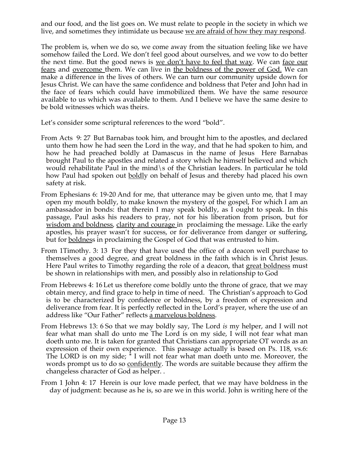and our food, and the list goes on. We must relate to people in the society in which we live, and sometimes they intimidate us because we are afraid of how they may respond.

The problem is, when we do so, we come away from the situation feeling like we have somehow failed the Lord. We don't feel good about ourselves, and we vow to do better the next time. But the good news is we don't have to feel that way. We can face our fears and overcome them. We can live in the boldness of the power of God. We can make a difference in the lives of others. We can turn our community upside down for Jesus Christ. We can have the same confidence and boldness that Peter and John had in the face of fears which could have immobilized them. We have the same resource available to us which was available to them. And I believe we have the same desire to be bold witnesses which was theirs.

Let's consider some scriptural references to the word "bold".

- From Acts 9: 27 But Barnabas took him, and brought him to the apostles, and declared unto them how he had seen the Lord in the way, and that he had spoken to him, and how he had preached boldly at Damascus in the name of Jesus Here Barnabas brought Paul to the apostles and related a story which he himself believed and which would rehabilitate Paul in the mind s of the Christian leaders. In particular he told how Paul had spoken out boldly on behalf of Jesus and thereby had placed his own safety at risk.
- From Ephesians 6: 19-20 And for me, that utterance may be given unto me, that I may open my mouth boldly, to make known the mystery of the gospel, For which I am an ambassador in bonds: that therein I may speak boldly, as I ought to speak. In this passage, Paul asks his readers to pray, not for his liberation from prison, but for wisdom and boldness, clarity and courage in proclaiming the message. Like the early apostles, his prayer wasn't for success, or for deliverance from danger or suffering, but for boldness in proclaiming the Gospel of God that was entrusted to him.
- From 1Timothy. 3: 13 For they that have used the office of a deacon well purchase to themselves a good degree, and great boldness in the faith which is in Christ Jesus. Here Paul writes to Timothy regarding the role of a deacon, that great boldness must be shown in relationships with men, and possibly also in relationship to God
- From Hebrews 4: 16 Let us therefore come boldly unto the throne of grace, that we may obtain mercy, and find grace to help in time of need. The Christian's approach to God is to be characterized by confidence or boldness, by a freedom of expression and deliverance from fear. It is perfectly reflected in the Lord's prayer, where the use of an address like "Our Father" reflects a marvelous boldness.
- From Hebrews 13: 6 So that we may boldly say, The Lord *is* my helper, and I will not fear what man shall do unto me The Lord is on my side, I will not fear what man doeth unto me. It is taken for granted that Christians can appropriate OT words as an expression of their own experience. This passage actually is based on Ps. 118, vs.6: The LORD is on my side; \* I will not fear what man doeth unto me. Moreover, the words prompt us to do so confidently. The words are suitable because they affirm the changeless character of God as helper. .
- From 1 John 4: 17 Herein is our love made perfect, that we may have boldness in the day of judgment: because as he is, so are we in this world. John is writing here of the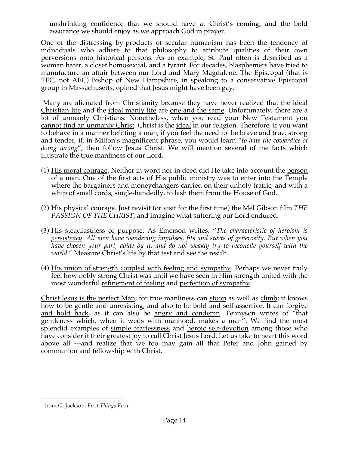unshrinking confidence that we should have at Christ's coming, and the bold assurance we should enjoy as we approach God in prayer.

One of the distressing by-products of secular humanism has been the tendency of individuals who adhere to that philosophy to attribute qualities of their own perversions onto historical persons. As an example, St. Paul often is described as a woman hater, a closet homosexual, and a tyrant. For decades, blasphemers have tried to manufacture an affair between our Lord and Mary Magdalene. The Episcopal (that is TEC, not AEC) Bishop of New Hampshire, in speaking to a conservative Episcopal group in Massachusetts, opined that Jesus might have been gay.

<sup>1</sup>Many are alienated from Christianity because they have never realized that the ideal Christian life and the ideal manly life are one and the same. Unfortunately, there are a lot of unmanly Christians. Nonetheless, when you read your New Testament you cannot find an unmanly Christ. Christ is the ideal in our religion. Therefore, if you want to behave in a manner befitting a man, if you feel the need to be brave and true, strong and tender, if, in Milton's magnificent phrase, you would learn "*to hate the cowardice of*  doing wrong", then follow Jesus Christ. We will mention several of the facts which illustrate the true manliness of our Lord.

- (1) His moral courage. Neither in word nor in deed did He take into account the person of a man. One of the first acts of His public ministry was to enter into the Temple where the bargainers and moneychangers carried on their unholy traffic, and with a whip of small cords, single-handedly, to lash them from the House of God.
- (2) His physical courage. Just revisit (or visit for the first time) the Mel Gibson film *THE PASSION OF THE CHRIST*, and imagine what suffering our Lord endured.
- (3) His steadfastness of purpose. As Emerson writes, "*The characteristic of heroism is persistency. All men have wandering impulses, fits and starts of generosity. But when you have chosen your part, abide by it, and do not weakly try to reconcile yourself with the world.*" Measure Christ's life by that test and see the result.
- (4) His union of strength coupled with feeling and sympathy. Perhaps we never truly feel how nobly strong Christ was until we have seen in Him strength united with the most wonderful refinement of feeling and perfection of sympathy.

Christ Jesus is the perfect Man; for true manliness can stoop as well as climb; it knows how to be gentle and unresisting, and also to be bold and self-assertive. It can forgive and hold back, as it can also be angry and condemn. Tennyson writes of "that gentleness which, when it weds with manhood, makes a man". We find the most splendid examples of simple fearlessness and heroic self-devotion among those who have consider it their greatest joy to call Christ Jesus Lord. Let us take to heart this word above all ---and realize that we too may gain all that Peter and John gained by communion and fellowship with Christ.

 $\frac{1}{1}$ from G. Jackson, *First Things First*.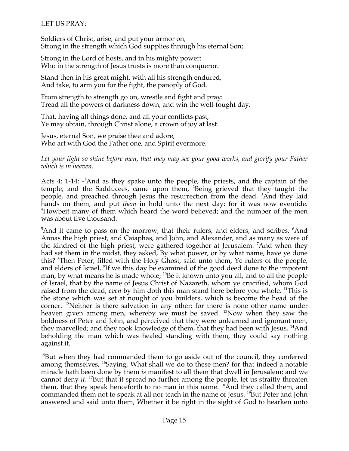## LET US PRAY:

Soldiers of Christ, arise, and put your armor on, Strong in the strength which God supplies through his eternal Son;

Strong in the Lord of hosts, and in his mighty power: Who in the strength of Jesus trusts is more than conqueror.

Stand then in his great might, with all his strength endured, And take, to arm you for the fight, the panoply of God.

From strength to strength go on, wrestle and fight and pray: Tread all the powers of darkness down, and win the well-fought day.

That, having all things done, and all your conflicts past, Ye may obtain, through Christ alone, a crown of joy at last.

Jesus, eternal Son, we praise thee and adore, Who art with God the Father one, and Spirit evermore.

*Let your light so shine before men, that they may see your good works, and glorify your Father which is in heaven.*

Acts 4: 1-14: -<sup>1</sup>And as they spake unto the people, the priests, and the captain of the temple, and the Sadducees, came upon them, <sup>2</sup>Being grieved that they taught the people, and preached through Jesus the resurrection from the dead. <sup>3</sup> And they laid hands on them, and put *them* in hold unto the next day: for it was now eventide. 4 Howbeit many of them which heard the word believed; and the number of the men was about five thousand.

<sup>5</sup>And it came to pass on the morrow, that their rulers, and elders, and scribes, <sup>6</sup>And Annas the high priest, and Caiaphas, and John, and Alexander, and as many as were of the kindred of the high priest, were gathered together at Jerusalem. <sup>7</sup> And when they had set them in the midst, they asked, By what power, or by what name, have ye done this? <sup>8</sup>Then Peter, filled with the Holy Ghost, said unto them, Ye rulers of the people, and elders of Israel, <sup>9</sup>If we this day be examined of the good deed done to the impotent man, by what means he is made whole; <sup>10</sup>Be it known unto you all, and to all the people of Israel, that by the name of Jesus Christ of Nazareth, whom ye crucified, whom God raised from the dead, *even* by him doth this man stand here before you whole. <sup>11</sup>This is the stone which was set at nought of you builders, which is become the head of the corner. 12Neither is there salvation in any other: for there is none other name under heaven given among men, whereby we must be saved. <sup>13</sup>Now when they saw the boldness of Peter and John, and perceived that they were unlearned and ignorant men, they marvelled; and they took knowledge of them, that they had been with Jesus. <sup>14</sup>And beholding the man which was healed standing with them, they could say nothing against it.

<sup>15</sup>But when they had commanded them to go aside out of the council, they conferred among themselves, <sup>16</sup>Saying, What shall we do to these men? for that indeed a notable miracle hath been done by them *is* manifest to all them that dwell in Jerusalem; and we cannot deny *it*. 17But that it spread no further among the people, let us straitly threaten them, that they speak henceforth to no man in this name. <sup>18</sup>And they called them, and commanded them not to speak at all nor teach in the name of Jesus. <sup>19</sup>But Peter and John answered and said unto them, Whether it be right in the sight of God to hearken unto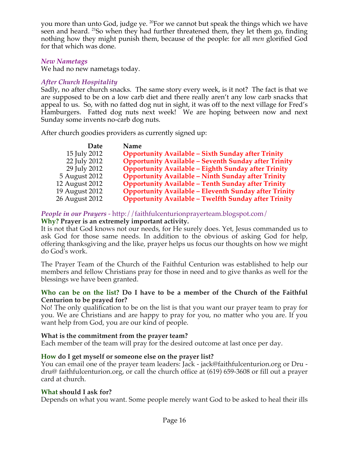you more than unto God, judge ye. <sup>20</sup>For we cannot but speak the things which we have seen and heard. <sup>21</sup>So when they had further threatened them, they let them go, finding nothing how they might punish them, because of the people: for all *men* glorified God for that which was done.

## *New Nametags*

We had no new nametags today.

# *After Church Hospitality*

Sadly, no after church snacks. The same story every week, is it not? The fact is that we are supposed to be on a low carb diet and there really aren't any low carb snacks that appeal to us. So, with no fatted dog nut in sight, it was off to the next village for Fred's Hamburgers. Fatted dog nuts next week! We are hoping between now and next Sunday some invents no-carb dog nuts.

After church goodies providers as currently signed up:

| Date           | <b>Name</b>                                                  |
|----------------|--------------------------------------------------------------|
| 15 July 2012   | <b>Opportunity Available - Sixth Sunday after Trinity</b>    |
| 22 July 2012   | <b>Opportunity Available - Seventh Sunday after Trinity</b>  |
| 29 July 2012   | <b>Opportunity Available - Eighth Sunday after Trinity</b>   |
| 5 August 2012  | <b>Opportunity Available - Ninth Sunday after Trinity</b>    |
| 12 August 2012 | <b>Opportunity Available - Tenth Sunday after Trinity</b>    |
| 19 August 2012 | <b>Opportunity Available - Eleventh Sunday after Trinity</b> |
| 26 August 2012 | <b>Opportunity Available - Twelfth Sunday after Trinity</b>  |

#### *People in our Prayers* - http://faithfulcenturionprayerteam.blogspot.com/ **Why? Prayer is an extremely important activity.**

It is not that God knows not our needs, for He surely does. Yet, Jesus commanded us to ask God for those same needs. In addition to the obvious of asking God for help, offering thanksgiving and the like, prayer helps us focus our thoughts on how we might do God's work.

The Prayer Team of the Church of the Faithful Centurion was established to help our members and fellow Christians pray for those in need and to give thanks as well for the blessings we have been granted.

#### **Who can be on the list? Do I have to be a member of the Church of the Faithful Centurion to be prayed for?**

No! The only qualification to be on the list is that you want our prayer team to pray for you. We are Christians and are happy to pray for you, no matter who you are. If you want help from God, you are our kind of people.

#### **What is the commitment from the prayer team?**

Each member of the team will pray for the desired outcome at last once per day.

#### **How do I get myself or someone else on the prayer list?**

You can email one of the prayer team leaders: Jack - jack@faithfulcenturion.org or Dru dru@ faithfulcenturion.org, or call the church office at (619) 659-3608 or fill out a prayer card at church.

#### **What should I ask for?**

Depends on what you want. Some people merely want God to be asked to heal their ills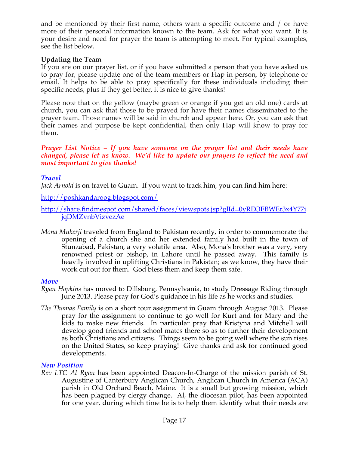and be mentioned by their first name, others want a specific outcome and / or have more of their personal information known to the team. Ask for what you want. It is your desire and need for prayer the team is attempting to meet. For typical examples, see the list below.

## **Updating the Team**

If you are on our prayer list, or if you have submitted a person that you have asked us to pray for, please update one of the team members or Hap in person, by telephone or email. It helps to be able to pray specifically for these individuals including their specific needs; plus if they get better, it is nice to give thanks!

Please note that on the yellow (maybe green or orange if you get an old one) cards at church, you can ask that those to be prayed for have their names disseminated to the prayer team. Those names will be said in church and appear here. Or, you can ask that their names and purpose be kept confidential, then only Hap will know to pray for them.

#### *Prayer List Notice – If you have someone on the prayer list and their needs have changed, please let us know. We'd like to update our prayers to reflect the need and most important to give thanks!*

# *Travel*

*Jack Arnold* is on travel to Guam. If you want to track him, you can find him here:

http://poshkandaroog.blogspot.com/

http://share.findmespot.com/shared/faces/viewspots.jsp?glId=0yREOEBWEr3x4Y77i jqDMZvnbVizvezAe

*Mona Mukerji* traveled from England to Pakistan recently, in order to commemorate the opening of a church she and her extended family had built in the town of Stunzabad, Pakistan, a very volatile area. Also, Mona's brother was a very, very renowned priest or bishop, in Lahore until he passed away. This family is heavily involved in uplifting Christians in Pakistan; as we know, they have their work cut out for them. God bless them and keep them safe.

#### *Move*

- *Ryan Hopkins* has moved to Dillsburg, Pennsylvania, to study Dressage Riding through June 2013. Please pray for God's guidance in his life as he works and studies.
- *The Thomas Family* is on a short tour assignment in Guam through August 2013. Please pray for the assignment to continue to go well for Kurt and for Mary and the kids to make new friends. In particular pray that Kristyna and Mitchell will develop good friends and school mates there so as to further their development as both Christians and citizens. Things seem to be going well where the sun rises on the United States, so keep praying! Give thanks and ask for continued good developments.

#### *New Position*

*Rev LTC Al Ryan* has been appointed Deacon-In-Charge of the mission parish of St. Augustine of Canterbury Anglican Church, Anglican Church in America (ACA) parish in Old Orchard Beach, Maine. It is a small but growing mission, which has been plagued by clergy change. Al, the diocesan pilot, has been appointed for one year, during which time he is to help them identify what their needs are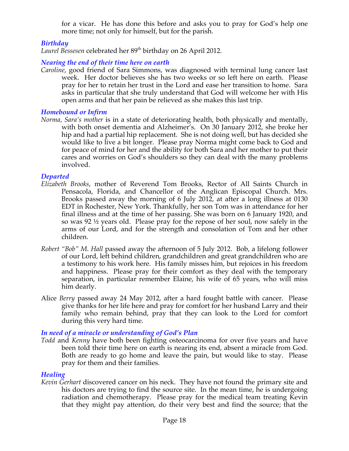for a vicar. He has done this before and asks you to pray for God's help one more time; not only for himself, but for the parish.

# *Birthday*

Laurel Bessesen celebrated her 89<sup>th</sup> birthday on 26 April 2012.

# *Nearing the end of their time here on earth*

*Caroline*, good friend of Sara Simmons, was diagnosed with terminal lung cancer last week. Her doctor believes she has two weeks or so left here on earth. Please pray for her to retain her trust in the Lord and ease her transition to home. Sara asks in particular that she truly understand that God will welcome her with His open arms and that her pain be relieved as she makes this last trip.

#### *Homebound or Infirm*

*Norma, Sara's mother* is in a state of deteriorating health, both physically and mentally, with both onset dementia and Alzheimer's. On 30 January 2012, she broke her hip and had a partial hip replacement. She is not doing well, but has decided she would like to live a bit longer. Please pray Norma might come back to God and for peace of mind for her and the ability for both Sara and her mother to put their cares and worries on God's shoulders so they can deal with the many problems involved.

# *Departed*

- *Elizabeth Brooks*, mother of Reverend Tom Brooks, Rector of All Saints Church in Pensacola, Florida, and Chancellor of the Anglican Episcopal Church. Mrs. Brooks passed away the morning of 6 July 2012, at after a long illness at 0130 EDT in Rochester, New York. Thankfully, her son Tom was in attendance for her final illness and at the time of her passing. She was born on 6 January 1920, and so was 92 ½ years old. Please pray for the repose of her soul, now safely in the arms of our Lord, and for the strength and consolation of Tom and her other children.
- *Robert "Bob" M. Hall* passed away the afternoon of 5 July 2012. Bob, a lifelong follower of our Lord, left behind children, grandchildren and great grandchildren who are a testimony to his work here. His family misses him, but rejoices in his freedom and happiness. Please pray for their comfort as they deal with the temporary separation, in particular remember Elaine, his wife of 65 years, who will miss him dearly.
- Alice *Berry* passed away 24 May 2012, after a hard fought battle with cancer. Please give thanks for her life here and pray for comfort for her husband Larry and their family who remain behind, pray that they can look to the Lord for comfort during this very hard time.

# *In need of a miracle or understanding of God's Plan*

*Todd* and *Kenny* have both been fighting osteocarcinoma for over five years and have been told their time here on earth is nearing its end, absent a miracle from God. Both are ready to go home and leave the pain, but would like to stay. Please pray for them and their families.

# *Healing*

*Kevin Gerhart* discovered cancer on his neck. They have not found the primary site and his doctors are trying to find the source site. In the mean time, he is undergoing radiation and chemotherapy. Please pray for the medical team treating Kevin that they might pay attention, do their very best and find the source; that the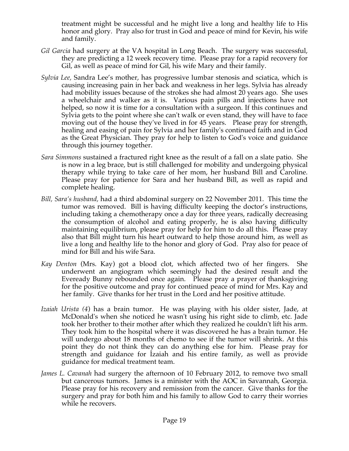treatment might be successful and he might live a long and healthy life to His honor and glory. Pray also for trust in God and peace of mind for Kevin, his wife and family.

- *Gil Garcia* had surgery at the VA hospital in Long Beach. The surgery was successful, they are predicting a 12 week recovery time. Please pray for a rapid recovery for Gil, as well as peace of mind for Gil, his wife Mary and their family.
- *Sylvia Lee,* Sandra Lee's mother, has progressive lumbar stenosis and sciatica, which is causing increasing pain in her back and weakness in her legs. Sylvia has already had mobility issues because of the strokes she had almost 20 years ago. She uses a wheelchair and walker as it is. Various pain pills and injections have not helped, so now it is time for a consultation with a surgeon. If this continues and Sylvia gets to the point where she can't walk or even stand, they will have to face moving out of the house they've lived in for 45 years. Please pray for strength, healing and easing of pain for Sylvia and her family's continued faith and in God as the Great Physician. They pray for help to listen to God's voice and guidance through this journey together.
- *Sara Simmons* sustained a fractured right knee as the result of a fall on a slate patio. She is now in a leg brace, but is still challenged for mobility and undergoing physical therapy while trying to take care of her mom, her husband Bill and Caroline. Please pray for patience for Sara and her husband Bill, as well as rapid and complete healing.
- *Bill, Sara's husband,* had a third abdominal surgery on 22 November 2011. This time the tumor was removed. Bill is having difficulty keeping the doctor's instructions, including taking a chemotherapy once a day for three years, radically decreasing the consumption of alcohol and eating properly, he is also having difficulty maintaining equilibrium, please pray for help for him to do all this. Please pray also that Bill might turn his heart outward to help those around him, as well as live a long and healthy life to the honor and glory of God. Pray also for peace of mind for Bill and his wife Sara.
- *Kay Denton* (Mrs. Kay) got a blood clot, which affected two of her fingers. She underwent an angiogram which seemingly had the desired result and the Eveready Bunny rebounded once again. Please pray a prayer of thanksgiving for the positive outcome and pray for continued peace of mind for Mrs. Kay and her family. Give thanks for her trust in the Lord and her positive attitude.
- *Izaiah Urista (4*) has a brain tumor. He was playing with his older sister, Jade, at McDonald's when she noticed he wasn't using his right side to climb, etc. Jade took her brother to their mother after which they realized he couldn't lift his arm. They took him to the hospital where it was discovered he has a brain tumor. He will undergo about 18 months of chemo to see if the tumor will shrink. At this point they do not think they can do anything else for him. Please pray for strength and guidance for Izaiah and his entire family, as well as provide guidance for medical treatment team.
- *James L. Cavanah* had surgery the afternoon of 10 February 2012, to remove two small but cancerous tumors. James is a minister with the AOC in Savannah, Georgia. Please pray for his recovery and remission from the cancer. Give thanks for the surgery and pray for both him and his family to allow God to carry their worries while he recovers.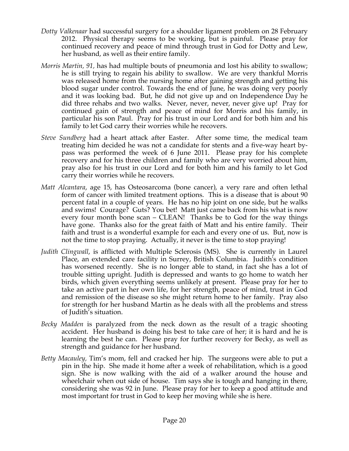- *Dotty Valkenaar* had successful surgery for a shoulder ligament problem on 28 February 2012. Physical therapy seems to be working, but is painful. Please pray for continued recovery and peace of mind through trust in God for Dotty and Lew, her husband, as well as their entire family.
- *Morris Martin, 91,* has had multiple bouts of pneumonia and lost his ability to swallow; he is still trying to regain his ability to swallow. We are very thankful Morris was released home from the nursing home after gaining strength and getting his blood sugar under control. Towards the end of June, he was doing very poorly and it was looking bad. But, he did not give up and on Independence Day he did three rehabs and two walks. Never, never, never, never give up! Pray for continued gain of strength and peace of mind for Morris and his family, in particular his son Paul. Pray for his trust in our Lord and for both him and his family to let God carry their worries while he recovers.
- *Steve Sundberg* had a heart attack after Easter. After some time, the medical team treating him decided he was not a candidate for stents and a five-way heart bypass was performed the week of 6 June 2011. Please pray for his complete recovery and for his three children and family who are very worried about him, pray also for his trust in our Lord and for both him and his family to let God carry their worries while he recovers.
- *Matt Alcantara*, age 15, has Osteosarcoma (bone cancer), a very rare and often lethal form of cancer with limited treatment options. This is a disease that is about 90 percent fatal in a couple of years. He has no hip joint on one side, but he walks and swims! Courage? Guts? You bet! Matt just came back from his what is now every four month bone scan – CLEAN! Thanks be to God for the way things have gone. Thanks also for the great faith of Matt and his entire family. Their faith and trust is a wonderful example for each and every one of us. But, now is not the time to stop praying. Actually, it never is the time to stop praying!
- *Judith Clingwall*, is afflicted with Multiple Sclerosis (MS). She is currently in Laurel Place, an extended care facility in Surrey, British Columbia. Judith's condition has worsened recently. She is no longer able to stand, in fact she has a lot of trouble sitting upright. Judith is depressed and wants to go home to watch her birds, which given everything seems unlikely at present. Please pray for her to take an active part in her own life, for her strength, peace of mind, trust in God and remission of the disease so she might return home to her family. Pray also for strength for her husband Martin as he deals with all the problems and stress of Judith's situation.
- *Becky Madden* is paralyzed from the neck down as the result of a tragic shooting accident. Her husband is doing his best to take care of her; it is hard and he is learning the best he can. Please pray for further recovery for Becky, as well as strength and guidance for her husband.
- *Betty Macauley,* Tim's mom, fell and cracked her hip. The surgeons were able to put a pin in the hip. She made it home after a week of rehabilitation, which is a good sign. She is now walking with the aid of a walker around the house and wheelchair when out side of house. Tim says she is tough and hanging in there, considering she was 92 in June. Please pray for her to keep a good attitude and most important for trust in God to keep her moving while she is here.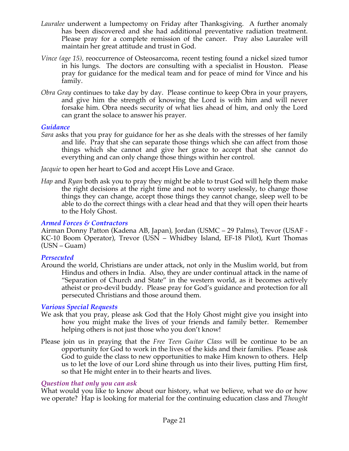- *Lauralee* underwent a lumpectomy on Friday after Thanksgiving. A further anomaly has been discovered and she had additional preventative radiation treatment. Please pray for a complete remission of the cancer. Pray also Lauralee will maintain her great attitude and trust in God.
- *Vince (age 15),* reoccurrence of Osteosarcoma, recent testing found a nickel sized tumor in his lungs. The doctors are consulting with a specialist in Houston. Please pray for guidance for the medical team and for peace of mind for Vince and his family.
- *Obra Gray* continues to take day by day. Please continue to keep Obra in your prayers, and give him the strength of knowing the Lord is with him and will never forsake him. Obra needs security of what lies ahead of him, and only the Lord can grant the solace to answer his prayer.

#### *Guidance*

*Sara* asks that you pray for guidance for her as she deals with the stresses of her family and life. Pray that she can separate those things which she can affect from those things which she cannot and give her grace to accept that she cannot do everything and can only change those things within her control.

*Jacquie* to open her heart to God and accept His Love and Grace.

*Hap* and *Ryan* both ask you to pray they might be able to trust God will help them make the right decisions at the right time and not to worry uselessly, to change those things they can change, accept those things they cannot change, sleep well to be able to do the correct things with a clear head and that they will open their hearts to the Holy Ghost.

# *Armed Forces & Contractors*

Airman Donny Patton (Kadena AB, Japan), Jordan (USMC – 29 Palms), Trevor (USAF - KC-10 Boom Operator), Trevor (USN – Whidbey Island, EF-18 Pilot), Kurt Thomas (USN – Guam)

#### *Persecuted*

Around the world, Christians are under attack, not only in the Muslim world, but from Hindus and others in India. Also, they are under continual attack in the name of "Separation of Church and State" in the western world, as it becomes actively atheist or pro-devil buddy. Please pray for God's guidance and protection for all persecuted Christians and those around them.

# *Various Special Requests*

- We ask that you pray, please ask God that the Holy Ghost might give you insight into how you might make the lives of your friends and family better. Remember helping others is not just those who you don't know!
- Please join us in praying that the *Free Teen Guitar Class* will be continue to be an opportunity for God to work in the lives of the kids and their families. Please ask God to guide the class to new opportunities to make Him known to others. Help us to let the love of our Lord shine through us into their lives, putting Him first, so that He might enter in to their hearts and lives.

# *Question that only you can ask*

What would you like to know about our history, what we believe, what we do or how we operate? Hap is looking for material for the continuing education class and *Thought*